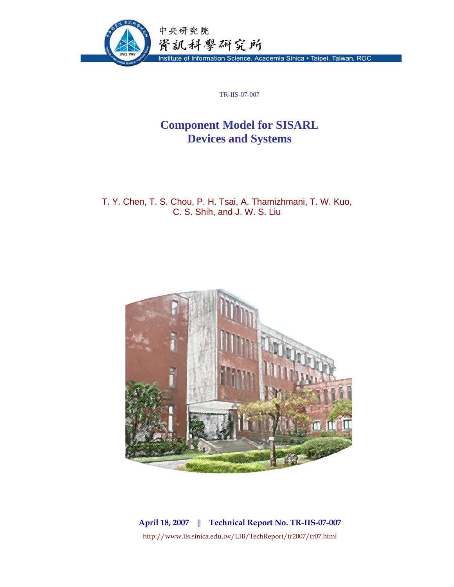

TR-IIS-07-007

## **Component Model for SISARL Devices and Systems**

T. Y. Chen, T. S. Chou, P. H. Tsai, A. Thamizhmani, T. W. Kuo, C. S. Shih, and J. W. S. Liu



**April 18, 2007 || Technical Report No. TR-IIS-07-007**  http://www.iis.sinica.edu.tw/LIB/TechReport/tr2007/tr07.html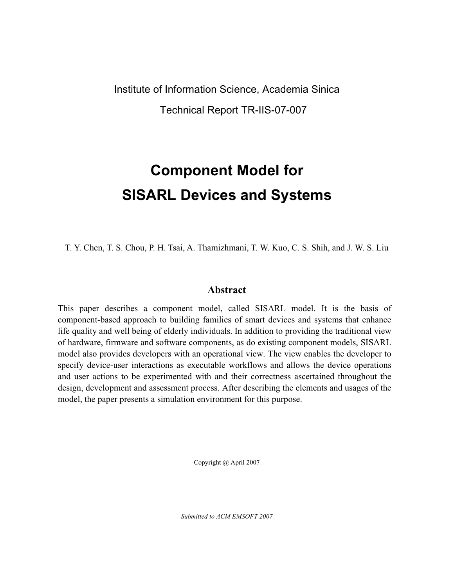## Institute of Information Science, Academia Sinica Technical Report TR-IIS-07-007

# **Component Model for SISARL Devices and Systems**

T. Y. Chen, T. S. Chou, P. H. Tsai, A. Thamizhmani, T. W. Kuo, C. S. Shih, and J. W. S. Liu

### **Abstract**

This paper describes a component model, called SISARL model. It is the basis of component-based approach to building families of smart devices and systems that enhance life quality and well being of elderly individuals. In addition to providing the traditional view of hardware, firmware and software components, as do existing component models, SISARL model also provides developers with an operational view. The view enables the developer to specify device-user interactions as executable workflows and allows the device operations and user actions to be experimented with and their correctness ascertained throughout the design, development and assessment process. After describing the elements and usages of the model, the paper presents a simulation environment for this purpose.

Copyright @ April 2007

*Submitted to ACM EMSOFT 2007*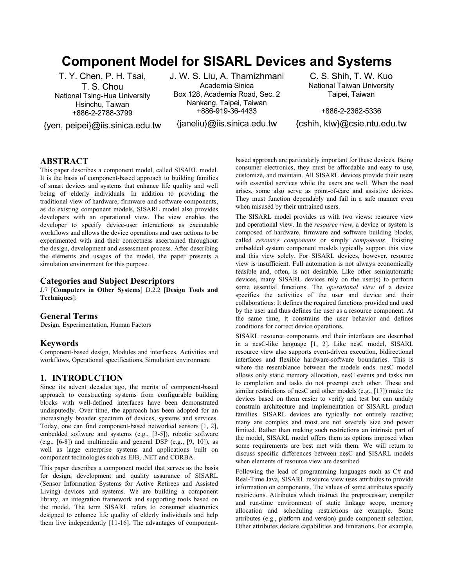## **Component Model for SISARL Devices and Systems**

T. Y. Chen, P. H. Tsai, T. S. Chou National Tsing-Hua University Hsinchu, Taiwan +886-2-2788-3799

{yen, peipei}@iis.sinica.edu.tw

J. W. S. Liu, A. Thamizhmani Academia Sinica Box 128, Academia Road, Sec. 2 Nankang, Taipei, Taiwan +886-919-36-4433

{janeliu}@iis.sinica.edu.tw

C. S. Shih, T. W. Kuo National Taiwan University Taipei, Taiwan

+886-2-2362-5336 {cshih, ktw}@csie.ntu.edu.tw

#### **ABSTRACT**

This paper describes a component model, called SISARL model. It is the basis of component-based approach to building families of smart devices and systems that enhance life quality and well being of elderly individuals. In addition to providing the traditional view of hardware, firmware and software components, as do existing component models, SISARL model also provides developers with an operational view. The view enables the developer to specify device-user interactions as executable workflows and allows the device operations and user actions to be experimented with and their correctness ascertained throughout the design, development and assessment process. After describing the elements and usages of the model, the paper presents a simulation environment for this purpose.

#### **Categories and Subject Descriptors**

J.7 [**Computers in Other Systems**] D.2.2 [**Design Tools and Techniques**]:

#### **General Terms**

Design, Experimentation, Human Factors

#### **Keywords**

Component-based design, Modules and interfaces, Activities and workflows, Operational specifications, Simulation environment

#### **1. INTRODUCTION**

Since its advent decades ago, the merits of component-based approach to constructing systems from configurable building blocks with well-defined interfaces have been demonstrated undisputedly. Over time, the approach has been adopted for an increasingly broader spectrum of devices, systems and services. Today, one can find component-based networked sensors [1, 2], embedded software and systems (e.g., [3-5]), robotic software (e.g.,  $[6-8]$ ) and multimedia and general DSP (e.g.,  $[9, 10]$ ), as well as large enterprise systems and applications built on component technologies such as EJB, .NET and CORBA.

This paper describes a component model that serves as the basis for design, development and quality assurance of SISARL (Sensor Information Systems for Active Retirees and Assisted Living) devices and systems. We are building a component library, an integration framework and supporting tools based on the model. The term SISARL refers to consumer electronics designed to enhance life quality of elderly individuals and help them live independently [11-16]. The advantages of componentbased approach are particularly important for these devices. Being consumer electronics, they must be affordable and easy to use, customize, and maintain. All SISARL devices provide their users with essential services while the users are well. When the need arises, some also serve as point-of-care and assistive devices. They must function dependably and fail in a safe manner even when misused by their untrained users.

The SISARL model provides us with two views: resource view and operational view. In the *resource view*, a device or system is composed of hardware, firmware and software building blocks, called *resource components* or simply *components*. Existing embedded system component models typically support this view and this view solely. For SISARL devices, however, resource view is insufficient. Full automation is not always economically feasible and, often, is not desirable. Like other semiautomatic devices, many SISARL devices rely on the user(s) to perform some essential functions. The *operational view* of a device specifies the activities of the user and device and their collaborations: It defines the required functions provided and used by the user and thus defines the user as a resource component. At the same time, it constrains the user behavior and defines conditions for correct device operations.

SISARL resource components and their interfaces are described in a nesC-like language [1, 2]. Like nesC model, SISARL resource view also supports event-driven execution, bidirectional interfaces and flexible hardware-software boundaries. This is where the resemblance between the models ends. nesC model allows only static memory allocation, nesC events and tasks run to completion and tasks do not preempt each other. These and similar restrictions of nesC and other models (e.g., [17]) make the devices based on them easier to verify and test but can unduly constrain architecture and implementation of SISARL product families. SISARL devices are typically not entirely reactive; many are complex and most are not severely size and power limited. Rather than making such restrictions an intrinsic part of the model, SISARL model offers them as options imposed when some requirements are best met with them. We will return to discuss specific differences between nesC and SISARL models when elements of resource view are described

Following the lead of programming languages such as C# and Real-Time Java, SISARL resource view uses attributes to provide information on components. The values of some attributes specify restrictions. Attributes which instruct the preprocessor, compiler and run-time environment of static linkage scope, memory allocation and scheduling restrictions are example. Some attributes (e.g., platform and version) guide component selection. Other attributes declare capabilities and limitations. For example,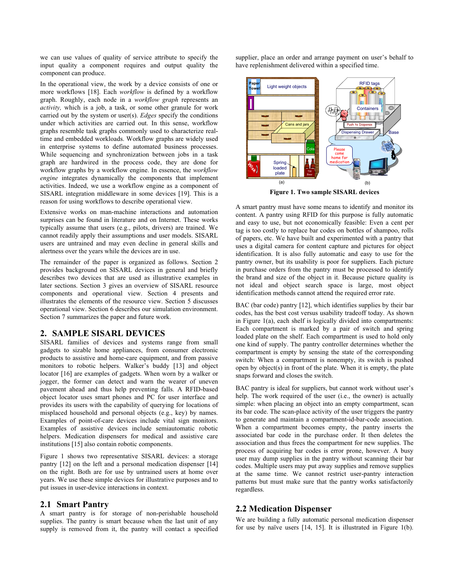we can use values of quality of service attribute to specify the input quality a component requires and output quality the component can produce.

In the operational view, the work by a device consists of one or more workflows [18]. Each *workflow* is defined by a workflow graph. Roughly, each node in a *workflow graph* represents an *activity,* which is a job, a task, or some other granule for work carried out by the system or user(s). *Edges* specify the conditions under which activities are carried out. In this sense, workflow graphs resemble task graphs commonly used to characterize realtime and embedded workloads. Workflow graphs are widely used in enterprise systems to define automated business processes. While sequencing and synchronization between jobs in a task graph are hardwired in the process code, they are done for workflow graphs by a workflow engine. In essence, the *workflow engine* integrates dynamically the components that implement activities. Indeed, we use a workflow engine as a component of SISARL integration middleware in some devices [19]. This is a reason for using workflows to describe operational view.

Extensive works on man-machine interactions and automation surprises can be found in literature and on Internet. These works typically assume that users (e.g., pilots, drivers) are trained. We cannot readily apply their assumptions and user models. SISARL users are untrained and may even decline in general skills and alertness over the years while the devices are in use.

The remainder of the paper is organized as follows. Section 2 provides background on SISARL devices in general and briefly describes two devices that are used as illustrative examples in later sections. Section 3 gives an overview of SISARL resource components and operational view. Section 4 presents and illustrates the elements of the resource view. Section 5 discusses operational view. Section 6 describes our simulation environment. Section 7 summarizes the paper and future work.

#### **2. SAMPLE SISARL DEVICES**

SISARL families of devices and systems range from small gadgets to sizable home appliances, from consumer electronic products to assistive and home-care equipment, and from passive monitors to robotic helpers. Walker's buddy [13] and object locator [16] are examples of gadgets. When worn by a walker or jogger, the former can detect and warn the wearer of uneven pavement ahead and thus help preventing falls. A RFID-based object locator uses smart phones and PC for user interface and provides its users with the capability of querying for locations of misplaced household and personal objects (e.g., key) by names. Examples of point-of-care devices include vital sign monitors. Examples of assistive devices include semiautomatic robotic helpers. Medication dispensers for medical and assistive care institutions [15] also contain robotic components.

Figure 1 shows two representative SISARL devices: a storage pantry [12] on the left and a personal medication dispenser [14] on the right. Both are for use by untrained users at home over years. We use these simple devices for illustrative purposes and to put issues in user-device interactions in context.

#### **2.1 Smart Pantry**

A smart pantry is for storage of non-perishable household supplies. The pantry is smart because when the last unit of any supply is removed from it, the pantry will contact a specified

supplier, place an order and arrange payment on user's behalf to have replenishment delivered within a specified time.



**Figure 1. Two sample SISARL devices** 

A smart pantry must have some means to identify and monitor its content. A pantry using RFID for this purpose is fully automatic and easy to use, but not economically feasible: Even a cent per tag is too costly to replace bar codes on bottles of shampoo, rolls of papers, etc. We have built and experimented with a pantry that uses a digital camera for content capture and pictures for object identification. It is also fully automatic and easy to use for the pantry owner, but its usability is poor for suppliers. Each picture in purchase orders from the pantry must be processed to identify the brand and size of the object in it. Because picture quality is not ideal and object search space is large, most object identification methods cannot attend the required error rate.

BAC (bar code) pantry [12], which identifies supplies by their bar codes, has the best cost versus usability tradeoff today. As shown in Figure 1(a), each shelf is logically divided into compartments: Each compartment is marked by a pair of switch and spring loaded plate on the shelf. Each compartment is used to hold only one kind of supply. The pantry controller determines whether the compartment is empty by sensing the state of the corresponding switch: When a compartment is nonempty, its switch is pushed open by object(s) in front of the plate. When it is empty, the plate snaps forward and closes the switch.

BAC pantry is ideal for suppliers, but cannot work without user's help. The work required of the user (i.e., the owner) is actually simple: when placing an object into an empty compartment, scan its bar code. The scan-place activity of the user triggers the pantry to generate and maintain a compartment-id-bar-code association. When a compartment becomes empty, the pantry inserts the associated bar code in the purchase order. It then deletes the association and thus frees the compartment for new supplies. The process of acquiring bar codes is error prone, however. A busy user may dump supplies in the pantry without scanning their bar codes. Multiple users may put away supplies and remove supplies at the same time. We cannot restrict user-pantry interaction patterns but must make sure that the pantry works satisfactorily regardless.

#### **2.2 Medication Dispenser**

We are building a fully automatic personal medication dispenser for use by naïve users [14, 15]. It is illustrated in Figure 1(b).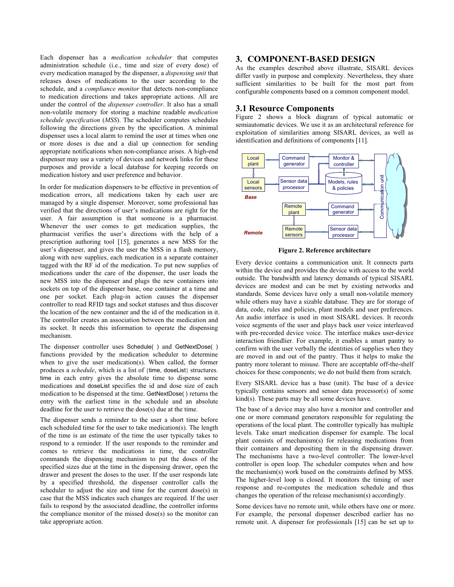Each dispenser has a *medication scheduler* that computes administration schedule (i.e., time and size of every dose) of every medication managed by the dispenser, a *dispensing unit* that releases doses of medications to the user according to the schedule, and a *compliance monitor* that detects non-compliance to medication directions and takes appropriate actions. All are under the control of the *dispenser controller*. It also has a small non-volatile memory for storing a machine readable *medication schedule specification* (*MSS*). The scheduler computes schedules following the directions given by the specification. A minimal dispenser uses a local alarm to remind the user at times when one or more doses is due and a dial up connection for sending appropriate notifications when non-compliance arises. A high-end dispenser may use a variety of devices and network links for these purposes and provide a local database for keeping records on medication history and user preference and behavior.

In order for medication dispensers to be effective in prevention of medication errors, all medications taken by each user are managed by a single dispenser. Moreover, some professional has verified that the directions of user's medications are right for the user. A fair assumption is that someone is a pharmacist. Whenever the user comes to get medication supplies, the pharmacist verifies the user's directions with the help of a prescription authoring tool [15], generates a new MSS for the user's dispenser, and gives the user the MSS in a flash memory, along with new supplies, each medication in a separate container tagged with the RF id of the medication. To put new supplies of medications under the care of the dispenser, the user loads the new MSS into the dispenser and plugs the new containers into sockets on top of the dispenser base, one container at a time and one per socket. Each plug-in action causes the dispenser controller to read RFID tags and socket statuses and thus discover the location of the new container and the id of the medication in it. The controller creates an association between the medication and its socket. It needs this information to operate the dispensing mechanism.

The dispenser controller uses Schedule( ) and GetNextDose( ) functions provided by the medication scheduler to determine when to give the user medication(s). When called, the former produces a *schedule*, which is a list of {time, doseList} structures. time in each entry gives the absolute time to dispense some medications and doseList specifies the id and dose size of each medication to be dispensed at the time. GetNextDose( ) returns the entry with the earliest time in the schedule and an absolute deadline for the user to retrieve the dose(s) due at the time.

The dispenser sends a reminder to the user a short time before each scheduled time for the user to take medication(s). The length of the time is an estimate of the time the user typically takes to respond to a reminder. If the user responds to the reminder and comes to retrieve the medications in time, the controller commands the dispensing mechanism to put the doses of the specified sizes due at the time in the dispensing drawer, open the drawer and present the doses to the user. If the user responds late by a specified threshold, the dispenser controller calls the scheduler to adjust the size and time for the current dose(s) in case that the MSS indicates such changes are required. If the user fails to respond by the associated deadline, the controller informs the compliance monitor of the missed dose(s) so the monitor can take appropriate action.

#### **3. COMPONENT-BASED DESIGN**

As the examples described above illustrate, SISARL devices differ vastly in purpose and complexity. Nevertheless, they share sufficient similarities to be built for the most part from configurable components based on a common component model.

#### **3.1 Resource Components**

Figure 2 shows a block diagram of typical automatic or semiautomatic devices. We use it as an architectural reference for exploitation of similarities among SISARL devices, as well as identification and definitions of components [11].



**Figure 2. Reference architecture** 

Every device contains a communication unit. It connects parts within the device and provides the device with access to the world outside. The bandwidth and latency demands of typical SISARL devices are modest and can be met by existing networks and standards. Some devices have only a small non-volatile memory while others may have a sizable database. They are for storage of data, code, rules and policies, plant models and user preferences. An audio interface is used in most SISARL devices. It records voice segments of the user and plays back user voice interleaved with pre-recorded device voice. The interface makes user-device interaction friendlier. For example, it enables a smart pantry to confirm with the user verbally the identities of supplies when they are moved in and out of the pantry. Thus it helps to make the pantry more tolerant to misuse. There are acceptable off-the-shelf choices for these components; we do not build them from scratch.

Every SISARL device has a base (unit). The base of a device typically contains sensors and sensor data processor(s) of some kind(s). These parts may be all some devices have.

The base of a device may also have a monitor and controller and one or more command generators responsible for regulating the operations of the local plant. The controller typically has multiple levels. Take smart medication dispenser for example. The local plant consists of mechanism(s) for releasing medications from their containers and depositing them in the dispensing drawer. The mechanisms have a two-level controller: The lower-level controller is open loop. The scheduler computes when and how the mechanism(s) work based on the constraints defined by MSS. The higher-level loop is closed. It monitors the timing of user response and re-computes the medication schedule and thus changes the operation of the release mechanism(s) accordingly.

Some devices have no remote unit, while others have one or more. For example, the personal dispenser described earlier has no remote unit. A dispenser for professionals [15] can be set up to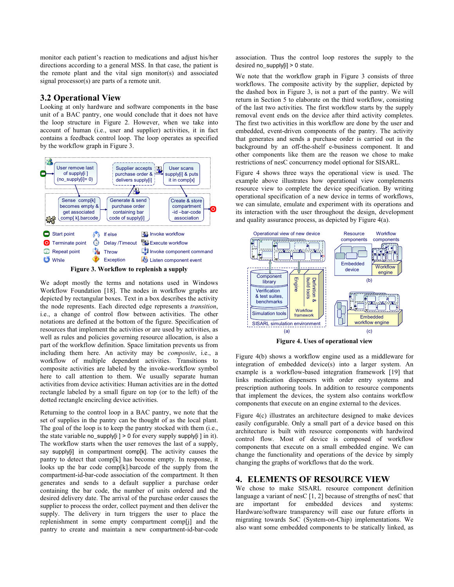monitor each patient's reaction to medications and adjust his/her directions according to a general MSS. In that case, the patient is the remote plant and the vital sign monitor(s) and associated signal processor(s) are parts of a remote unit.

#### **3.2 Operational View**

Looking at only hardware and software components in the base unit of a BAC pantry, one would conclude that it does not have the loop structure in Figure 2. However, when we take into account of human (i.e., user and supplier) activities, it in fact contains a feedback control loop. The loop operates as specified by the workflow graph in Figure 3.





We adopt mostly the terms and notations used in Windows Workflow Foundation [18]. The nodes in workflow graphs are depicted by rectangular boxes. Text in a box describes the activity the node represents. Each directed edge represents a *transition*, i.e., a change of control flow between activities. The other notations are defined at the bottom of the figure. Specification of resources that implement the activities or are used by activities, as well as rules and policies governing resource allocation, is also a part of the workflow definition. Space limitation prevents us from including them here. An activity may be *composite*, i.e., a workflow of multiple dependent activities. Transitions to composite activities are labeled by the invoke-workflow symbol here to call attention to them. We usually separate human activities from device activities: Human activities are in the dotted rectangle labeled by a small figure on top (or to the left) of the dotted rectangle encircling device activities.

Returning to the control loop in a BAC pantry, we note that the set of supplies in the pantry can be thought of as the local plant. The goal of the loop is to keep the pantry stocked with them (i.e., the state variable no\_supply[i ] > 0 for every supply supply[i ] in it). The workflow starts when the user removes the last of a supply, say supply[i] in compartment comp[k]. The activity causes the pantry to detect that comp[k] has become empty. In response, it looks up the bar code comp[k].barcode of the supply from the compartment-id-bar-code association of the compartment. It then generates and sends to a default supplier a purchase order containing the bar code, the number of units ordered and the desired delivery date. The arrival of the purchase order causes the supplier to process the order, collect payment and then deliver the supply. The delivery in turn triggers the user to place the replenishment in some empty compartment comp[j] and the pantry to create and maintain a new compartment-id-bar-code

association. Thus the control loop restores the supply to the desired no\_supply[i] > 0 state.

We note that the workflow graph in Figure 3 consists of three workflows. The composite activity by the supplier, depicted by the dashed box in Figure 3, is not a part of the pantry. We will return in Section 5 to elaborate on the third workflow, consisting of the last two activities. The first workflow starts by the supply removal event ends on the device after third activity completes. The first two activities in this workflow are done by the user and embedded, event-driven components of the pantry. The activity that generates and sends a purchase order is carried out in the background by an off-the-shelf e-business component. It and other components like them are the reason we chose to make restrictions of nesC concurrency model optional for SISARL.

Figure 4 shows three ways the operational view is used. The example above illustrates how operational view complements resource view to complete the device specification. By writing operational specification of a new device in terms of workflows, we can simulate, emulate and experiment with its operations and its interaction with the user throughout the design, development and quality assurance process, as depicted by Figure 4(a).



**Figure 4. Uses of operational view** 

Figure 4(b) shows a workflow engine used as a middleware for integration of embedded device(s) into a larger system. An example is a workflow-based integration framework [19] that links medication dispensers with order entry systems and prescription authoring tools. In addition to resource components that implement the devices, the system also contains workflow components that execute on an engine external to the devices.

Figure 4(c) illustrates an architecture designed to make devices easily configurable. Only a small part of a device based on this architecture is built with resource components with hardwired control flow. Most of device is composed of workflow components that execute on a small embedded engine. We can change the functionality and operations of the device by simply changing the graphs of workflows that do the work.

#### **4. ELEMENTS OF RESOURCE VIEW**

We chose to make SISARL resource component definition language a variant of nesC [1, 2] because of strengths of nesC that<br>are important for embedded devices and systems: important for embedded devices and systems: Hardware/software transparency will ease our future efforts in migrating towards SoC (System-on-Chip) implementations. We also want some embedded components to be statically linked, as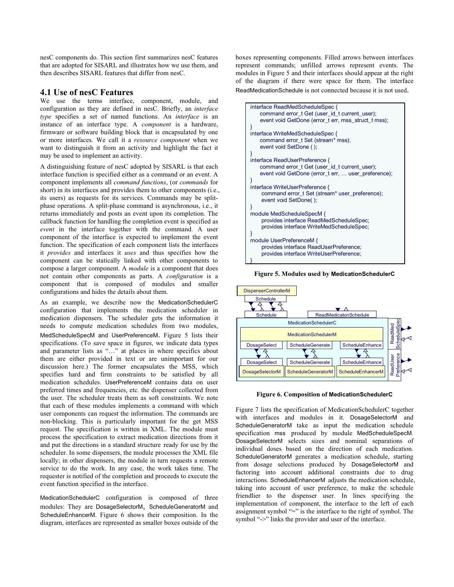nesC components do. This section first summarizes nesC features that are adopted for SISARL and illustrates how we use them, and then describes SISARL features that differ from nesC.

#### **4.1 Use of nesC Features**

We use the terms interface, component, module, and configuration as they are defined in nesC. Briefly, an *interface type* specifies a set of named functions. An *interface* is an instance of an interface type. A *component* is a hardware, firmware or software building block that is encapsulated by one or more interfaces. We call it a *resource component* when we want to distinguish it from an activity and highlight the fact it may be used to implement an activity.

A distinguishing feature of nesC adopted by SISARL is that each interface function is specified either as a command or an event. A component implements all *command functions*, (or *commands* for short) in its interfaces and provides them to other components (i.e., its users) as requests for its services. Commands may be splitphase operations. A split-phase command is asynchronous, i.e., it returns immediately and posts an event upon its completion. The callback function for handling the completion event is specified as *event* in the interface together with the command. A user component of the interface is expected to implement the event function. The specification of each component lists the interfaces it *provides* and interfaces it *uses* and thus specifies how the component can be statically linked with other components to compose a larger component. A *module* is a component that does not contain other components as parts. A *configuration* is a component that is composed of modules and smaller configurations and hides the details about them.

As an example, we describe now the MedicationSchedulerC configuration that implements the medication scheduler in medication dispensers. The scheduler gets the information it needs to compute medication schedules from two modules, MedScheduleSpecM and UserPreferenceM. Figure 5 lists their specifications. (To save space in figures, we indicate data types and parameter lists as "…" at places in where specifics about them are either provided in text or are unimportant for our discussion here.) The former encapsulates the MSS, which specifies hard and firm constraints to be satisfied by all medication schedules. UserPreferenceM contains data on user preferred times and frequencies, etc. the dispenser collected from the user. The scheduler treats them as soft constraints. We note that each of these modules implements a command with which user components can request the information. The commands are non-blocking. This is particularly important for the get MSS request. The specification is written in XML. The module must process the specification to extract medication directions from it and put the directions in a standard structure ready for use by the scheduler. In some dispensers, the module processes the XML file locally; in other dispensers, the module in turn requests a remote service to do the work. In any case, the work takes time. The requester is notified of the completion and proceeds to execute the event function specified in the interface.

MedicationSchedulerC configuration is composed of three modules: They are DosageSelectorM, ScheduleGeneratorM and ScheduleEnhancerM. Figure 6 shows their composition. In the diagram, interfaces are represented as smaller boxes outside of the boxes representing components. Filled arrows between interfaces represent commands; unfilled arrows represent events. The modules in Figure 5 and their interfaces should appear at the right of the diagram if there were space for them. The interface ReadMedicationSchedule is not connected because it is not used.



**Figure 5. Modules used by MedicationSchedulerC**



**Figure 6. Composition of MedicationSchedulerC** 

Figure 7 lists the specification of MedicationSchedulerC together with interfaces and modules in it. DosageSelectorM and ScheduleGeneratorM take as input the medication schedule specification mss produced by module MedScheduleSpecM. DosageSelectorM selects sizes and nominal separations of individual doses based on the direction of each medication. ScheduleGeneratorM generates a medication schedule, starting from dosage selections produced by DosageSelectorM and factoring into account additional constraints due to drug interactions. ScheduleEnhancerM adjusts the medication schedule, taking into account of user preference, to make the schedule friendlier to the dispenser user. In lines specifying the implementation of component, the interface to the left of each assignment symbol "=" is the interface to the right of symbol. The symbol "->" links the provider and user of the interface.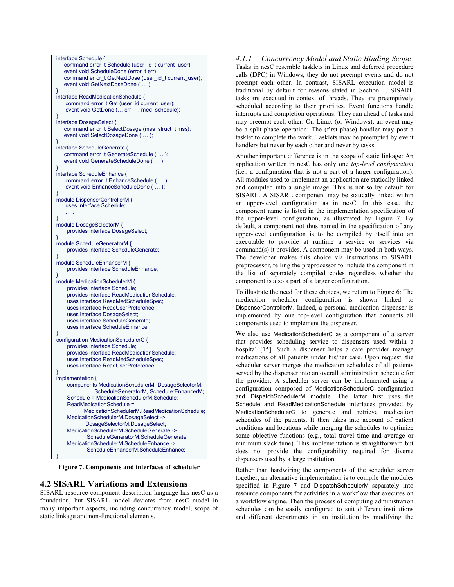

**Figure 7. Components and interfaces of scheduler** 

#### **4.2 SISARL Variations and Extensions**

SISARL resource component description language has nesC as a foundation, but SISARL model deviates from nesC model in many important aspects, including concurrency model, scope of static linkage and non-functional elements.

*4.1.1 Concurrency Model and Static Binding Scope*  Tasks in nesC resemble tasklets in Linux and deferred procedure calls (DPC) in Windows; they do not preempt events and do not preempt each other. In contrast, SISARL execution model is traditional by default for reasons stated in Section 1. SISARL tasks are executed in context of threads. They are preemptively scheduled according to their priorities. Event functions handle interrupts and completion operations. They run ahead of tasks and may preempt each other. On Linux (or Windows), an event may be a split-phase operation: The (first-phase) handler may post a tasklet to complete the work. Tasklets may be preempted by event handlers but never by each other and never by tasks.

Another important difference is in the scope of static linkage: An application written in nesC has only one *top-level configuration* (i.e., a configuration that is not a part of a larger configuration). All modules used to implement an application are statically linked and compiled into a single image. This is not so by default for SISARL. A SISARL component may be statically linked within an upper-level configuration as in nesC. In this case, the component name is listed in the implementation specification of the upper-level configuration, as illustrated by Figure 7. By default, a component not thus named in the specification of any upper-level configuration is to be compiled by itself into an executable to provide at runtime a service or services via command(s) it provides. A component may be used in both ways. The developer makes this choice via instructions to SISARL preprocessor, telling the preprocessor to include the component in the list of separately compiled codes regardless whether the component is also a part of a larger configuration.

To illustrate the need for these choices, we return to Figure 6: The medication scheduler configuration is shown linked to DispenserControllerM. Indeed, a personal medication dispenser is implemented by one top-level configuration that connects all components used to implement the dispenser.

We also use MedicationSchedulerC as a component of a server that provides scheduling service to dispensers used within a hospital [15]. Such a dispenser helps a care provider manage medications of all patients under his/her care. Upon request, the scheduler server merges the medication schedules of all patients served by the dispenser into an overall administration schedule for the provider. A scheduler server can be implemented using a configuration composed of MedicationSchedulerC configuration and DispatchSchedulerM module. The latter first uses the Schedule and ReadMedicationSchedule interfaces provided by MedicationSchedulerC to generate and retrieve medication schedules of the patients. It then takes into account of patient conditions and locations while merging the schedules to optimize some objective functions (e.g., total travel time and average or minimum slack time). This implementation is straightforward but does not provide the configurability required for diverse dispensers used by a large institution.

Rather than hardwiring the components of the scheduler server together, an alternative implementation is to compile the modules specified in Figure 7 and DispatchSchedulerM separately into resource components for activities in a workflow that executes on a workflow engine. Then the process of computing administration schedules can be easily configured to suit different institutions and different departments in an institution by modifying the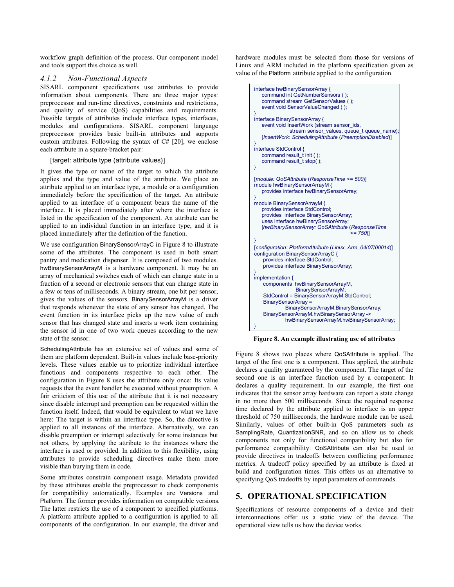workflow graph definition of the process. Our component model and tools support this choice as well.

#### *4.1.2 Non-Functional Aspects*

SISARL component specifications use attributes to provide information about components. There are three major types: preprocessor and run-time directives, constraints and restrictions, and quality of service (QoS) capabilities and requirements. Possible targets of attributes include interface types, interfaces, modules and configurations. SISARL component language preprocessor provides basic built-in attributes and supports custom attributes. Following the syntax of C# [20], we enclose each attribute in a square-bracket pair:

#### [target: attribute type (attribute values)]

It gives the type or name of the target to which the attribute applies and the type and value of the attribute. We place an attribute applied to an interface type, a module or a configuration immediately before the specification of the target. An attribute applied to an interface of a component bears the name of the interface. It is placed immediately after where the interface is listed in the specification of the component. An attribute can be applied to an individual function in an interface type, and it is placed immediately after the definition of the function.

We use configuration BinarySensorArrayC in Figure 8 to illustrate some of the attributes. The component is used in both smart pantry and medication dispenser. It is composed of two modules. hwBinarySensorArrayM is a hardware component. It may be an array of mechanical switches each of which can change state in a fraction of a second or electronic sensors that can change state in a few or tens of milliseconds. A binary stream, one bit per sensor, gives the values of the sensors. BinarySensorArrayM is a driver that responds whenever the state of any sensor has changed. The event function in its interface picks up the new value of each sensor that has changed state and inserts a work item containing the sensor id in one of two work queues according to the new state of the sensor.

SchedulingAttribute has an extensive set of values and some of them are platform dependent. Built-in values include base-priority levels. These values enable us to prioritize individual interface functions and components respective to each other. The configuration in Figure 8 uses the attribute only once: Its value requests that the event handler be executed without preemption. A fair criticism of this use of the attribute that it is not necessary since disable interrupt and preemption can be requested within the function itself. Indeed, that would be equivalent to what we have here: The target is within an interface type. So, the directive is applied to all instances of the interface. Alternatively, we can disable preemption or interrupt selectively for some instances but not others, by applying the attribute to the instances where the interface is used or provided. In addition to this flexibility, using attributes to provide scheduling directives make them more visible than burying them in code.

Some attributes constrain component usage. Metadata provided by these attributes enable the preprocessor to check components for compatibility automatically. Examples are Versions and Platform. The former provides information on compatible versions. The latter restricts the use of a component to specified platforms. A platform attribute applied to a configuration is applied to all components of the configuration. In our example, the driver and

hardware modules must be selected from those for versions of Linux and ARM included in the platform specification given as value of the Platform attribute applied to the configuration.



**Figure 8. An example illustrating use of attributes** 

Figure 8 shows two places where QoSAttribute is applied. The target of the first one is a component. Thus applied, the attribute declares a quality guaranteed by the component. The target of the second one is an interface function used by a component: It declares a quality requirement. In our example, the first one indicates that the sensor array hardware can report a state change in no more than 500 milliseconds. Since the required response time declared by the attribute applied to interface is an upper threshold of 750 milliseconds, the hardware module can be used. Similarly, values of other built-in QoS parameters such as SamplingRate, QuantizationSNR, and so on allow us to check components not only for functional compatibility but also for performance compatibility. QoSAttribute can also be used to provide directives in tradeoffs between conflicting performance metrics. A tradeoff policy specified by an attribute is fixed at build and configuration times. This offers us an alternative to specifying QoS tradeoffs by input parameters of commands.

#### **5. OPERATIONAL SPECIFICATION**

Specifications of resource components of a device and their interconnections offer us a static view of the device. The operational view tells us how the device works.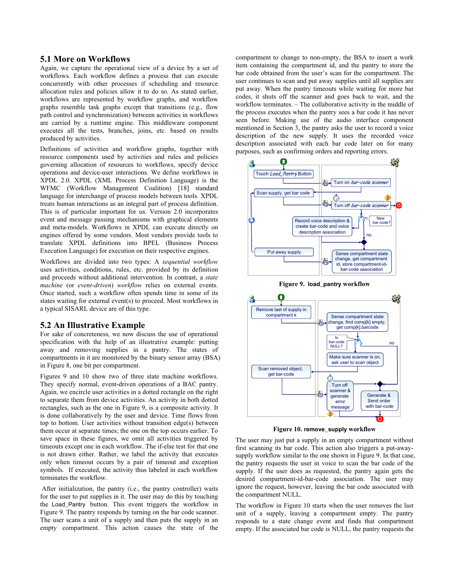#### **5.1 More on Workflows**

Again, we capture the operational view of a device by a set of workflows. Each workflow defines a process that can execute concurrently with other processes if scheduling and resource allocation rules and policies allow it to do so. As stated earlier, workflows are represented by workflow graphs, and workflow graphs resemble task graphs except that transitions (e.g., flow path control and synchronization) between activities in workflows are carried by a runtime engine. This middleware component executes all the tests, branches, joins, etc. based on results produced by activities.

Definitions of activities and workflow graphs, together with resource components used by activities and rules and policies governing allocation of resources to workflows, specify device operations and device-user interactions. We define workflows in XPDL 2.0. XPDL (XML Process Definition Language) is the WFMC (Workflow Management Coalition) [18] standard language for interchange of process models between tools. XPDL treats human interactions as an integral part of process definition. This is of particular important for us. Version 2.0 incorporates event and message passing mechanisms with graphical elements and meta-models. Workflows in XPDL can execute directly on engines offered by some vendors. Most vendors provide tools to translate XPDL definitions into BPEL (Business Process Execution Language) for execution on their respective engines.

Workflows are divided into two types: A *sequential workflow* uses activities, conditions, rules, etc. provided by its definition and proceeds without additional intervention. In contrast, a *state machine* (or *event-driven*) *workflow* relies on external events. Once started, such a workflow often spends time in some of its states waiting for external event(s) to proceed. Most workflows in a typical SISARL device are of this type.

#### **5.2 An Illustrative Example**

For sake of concreteness, we now discuss the use of operational specification with the help of an illustrative example: putting away and removing supplies in a pantry. The states of compartments in it are monitored by the binary sensor array (BSA) in Figure 8, one bit per compartment.

Figures 9 and 10 show two of three state machine workflows. They specify normal, event-driven operations of a BAC pantry. Again, we encircle user activities in a dotted rectangle on the right to separate them from device activities. An activity in both dotted rectangles, such as the one in Figure 9, is a composite activity. It is done collaboratively by the user and device. Time flows from top to bottom. User activities without transition edge(s) between them occur at separate times; the one on the top occurs earlier. To save space in these figures, we omit all activities triggered by timeouts except one in each workflow. The if-else test for that one is not drawn either. Rather, we label the activity that executes only when timeout occurs by a pair of timeout and exception symbols. If executed, the activity thus labeled in each workflow terminates the workflow.

 After initialization, the pantry (i.e., the pantry controller) waits for the user to put supplies in it. The user may do this by touching the Load\_Pantry button. This event triggers the workflow in Figure 9. The pantry responds by turning on the bar code scanner. The user scans a unit of a supply and then puts the supply in an empty compartment. This action causes the state of the

compartment to change to non-empty, the BSA to insert a work item containing the compartment id, and the pantry to store the bar code obtained from the user's scan for the compartment. The user continues to scan and put away supplies until all supplies are put away. When the pantry timeouts while waiting for more bar codes, it shuts off the scanner and goes back to wait, and the workflow terminates. – The collaborative activity in the middle of the process executes when the pantry sees a bar code it has never seen before. Making use of the audio interface component mentioned in Section 3, the pantry asks the user to record a voice description of the new supply. It uses the recorded voice description associated with each bar code later on for many purposes, such as confirming orders and reporting errors.



**Figure 9. load\_pantry workflow** 



**Figure 10. remove\_supply workflow** 

The user may just put a supply in an empty compartment without first scanning its bar code. This action also triggers a put-awaysupply workflow similar to the one shown in Figure 9. In that case, the pantry requests the user in voice to scan the bar code of the supply. If the user does as requested, the pantry again gets the desired compartment-id-bar-code association. The user may ignore the request, however, leaving the bar code associated with the compartment NULL.

The workflow in Figure 10 starts when the user removes the last unit of a supply, leaving a compartment empty. The pantry responds to a state change event and finds that compartment empty. If the associated bar code is NULL, the pantry requests the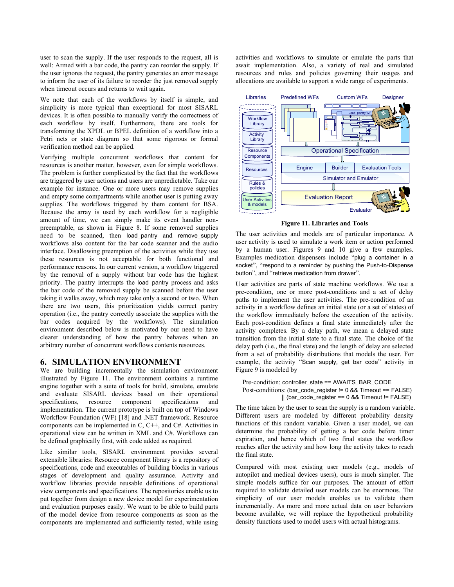user to scan the supply. If the user responds to the request, all is well: Armed with a bar code, the pantry can reorder the supply. If the user ignores the request, the pantry generates an error message to inform the user of its failure to reorder the just removed supply when timeout occurs and returns to wait again.

We note that each of the workflows by itself is simple, and simplicity is more typical than exceptional for most SISARL devices. It is often possible to manually verify the correctness of each workflow by itself. Furthermore, there are tools for transforming the XPDL or BPEL definition of a workflow into a Petri nets or state diagram so that some rigorous or formal verification method can be applied.

Verifying multiple concurrent workflows that content for resources is another matter, however, even for simple workflows. The problem is further complicated by the fact that the workflows are triggered by user actions and users are unpredictable. Take our example for instance. One or more users may remove supplies and empty some compartments while another user is putting away supplies. The workflows triggered by them content for BSA. Because the array is used by each workflow for a negligible amount of time, we can simply make its event handler nonpreemptable, as shown in Figure 8. If some removed supplies need to be scanned, then load\_pantry and remove\_supply workflows also content for the bar code scanner and the audio interface. Disallowing preemption of the activities while they use these resources is not acceptable for both functional and performance reasons. In our current version, a workflow triggered by the removal of a supply without bar code has the highest priority. The pantry interrupts the load\_pantry process and asks the bar code of the removed supply be scanned before the user taking it walks away, which may take only a second or two. When there are two users, this prioritization yields correct pantry operation (i.e., the pantry correctly associate the supplies with the bar codes acquired by the workflows). The simulation environment described below is motivated by our need to have clearer understanding of how the pantry behaves when an arbitrary number of concurrent workflows contents resources.

#### **6. SIMULATION ENVIRONMENT**

We are building incrementally the simulation environment illustrated by Figure 11. The environment contains a runtime engine together with a suite of tools for build, simulate, emulate and evaluate SISARL devices based on their operational specifications, resource component specifications and implementation. The current prototype is built on top of Windows Workflow Foundation (WF) [18] and .NET framework. Resource components can be implemented in C, C++, and C#. Activities in operational view can be written in XML and C#. Workflows can be defined graphically first, with code added as required.

Like similar tools, SISARL environment provides several extensible libraries: Resource component library is a repository of specifications, code and executables of building blocks in various stages of development and quality assurance. Activity and workflow libraries provide reusable definitions of operational view components and specifications. The repositories enable us to put together from design a new device model for experimentation and evaluation purposes easily. We want to be able to build parts of the model device from resource components as soon as the components are implemented and sufficiently tested, while using activities and workflows to simulate or emulate the parts that await implementation. Also, a variety of real and simulated resources and rules and policies governing their usages and allocations are available to support a wide range of experiments.



**Figure 11. Libraries and Tools** 

The user activities and models are of particular importance. A user activity is used to simulate a work item or action performed by a human user. Figures 9 and 10 give a few examples. Examples medication dispensers include "plug a container in a socket", "respond to a reminder by pushing the Push-to-Dispense button", and "retrieve medication from drawer".

User activities are parts of state machine workflows. We use a pre-condition, one or more post-conditions and a set of delay paths to implement the user activities. The pre-condition of an activity in a workflow defines an initial state (or a set of states) of the workflow immediately before the execution of the activity. Each post-condition defines a final state immediately after the activity completes. By a delay path, we mean a delayed state transition from the initial state to a final state. The choice of the delay path (i.e., the final state) and the length of delay are selected from a set of probability distributions that models the user. For example, the activity "Scan supply, get bar code" activity in Figure 9 is modeled by

```
Pre-condition: controller_state == AWAITS_BAR_CODE
Post-conditions: (bar_code_register != 0 && Timeout == FALSE) 
              || (bar_code_register == 0 && Timeout != FALSE)
```
The time taken by the user to scan the supply is a random variable. Different users are modeled by different probability density functions of this random variable. Given a user model, we can determine the probability of getting a bar code before timer expiration, and hence which of two final states the workflow reaches after the activity and how long the activity takes to reach the final state.

Compared with most existing user models (e.g., models of autopilot and medical devices users), ours is much simpler. The simple models suffice for our purposes. The amount of effort required to validate detailed user models can be enormous. The simplicity of our user models enables us to validate them incrementally. As more and more actual data on user behaviors become available, we will replace the hypothetical probability density functions used to model users with actual histograms.